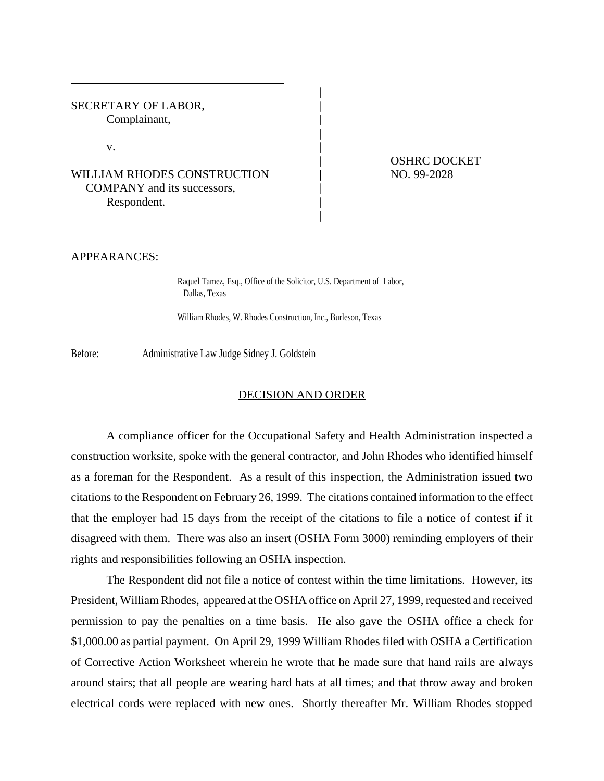SECRETARY OF LABOR, Complainant,

 $\mathbf v$ .

WILLIAM RHODES CONSTRUCTION  $\vert$  NO. 99-2028 COMPANY and its successors, Respondent.

| OSHRC DOCKET

## APPEARANCES:

Raquel Tamez, Esq., Office of the Solicitor, U.S. Department of Labor, Dallas, Texas

|

|

|

William Rhodes, W. Rhodes Construction, Inc., Burleson, Texas

Before: Administrative Law Judge Sidney J. Goldstein

## DECISION AND ORDER

A compliance officer for the Occupational Safety and Health Administration inspected a construction worksite, spoke with the general contractor, and John Rhodes who identified himself as a foreman for the Respondent. As a result of this inspection, the Administration issued two citations to the Respondent on February 26, 1999. The citations contained information to the effect that the employer had 15 days from the receipt of the citations to file a notice of contest if it disagreed with them. There was also an insert (OSHA Form 3000) reminding employers of their rights and responsibilities following an OSHA inspection.

The Respondent did not file a notice of contest within the time limitations. However, its President, William Rhodes, appeared at the OSHA office on April 27, 1999, requested and received permission to pay the penalties on a time basis. He also gave the OSHA office a check for \$1,000.00 as partial payment. On April 29, 1999 William Rhodes filed with OSHA a Certification of Corrective Action Worksheet wherein he wrote that he made sure that hand rails are always around stairs; that all people are wearing hard hats at all times; and that throw away and broken electrical cords were replaced with new ones. Shortly thereafter Mr. William Rhodes stopped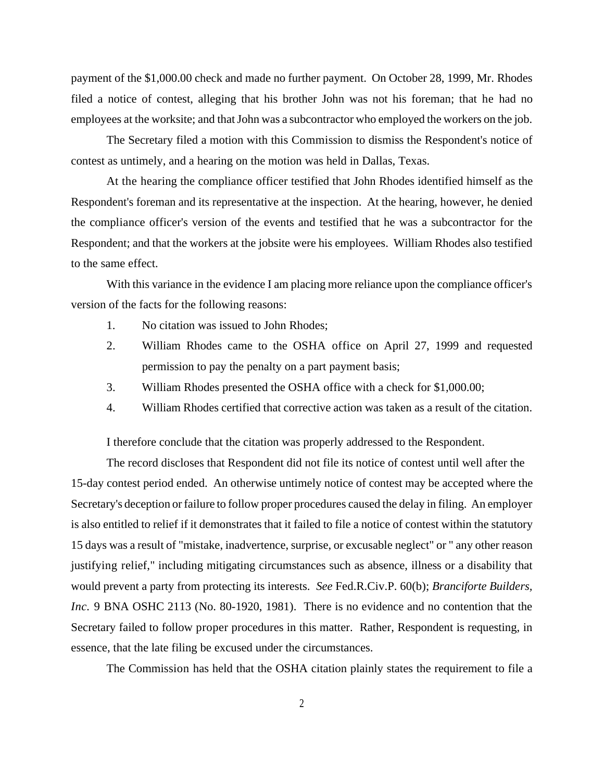payment of the \$1,000.00 check and made no further payment. On October 28, 1999, Mr. Rhodes filed a notice of contest, alleging that his brother John was not his foreman; that he had no employees at the worksite; and that John was a subcontractor who employed the workers on the job.

The Secretary filed a motion with this Commission to dismiss the Respondent's notice of contest as untimely, and a hearing on the motion was held in Dallas, Texas.

At the hearing the compliance officer testified that John Rhodes identified himself as the Respondent's foreman and its representative at the inspection. At the hearing, however, he denied the compliance officer's version of the events and testified that he was a subcontractor for the Respondent; and that the workers at the jobsite were his employees. William Rhodes also testified to the same effect.

With this variance in the evidence I am placing more reliance upon the compliance officer's version of the facts for the following reasons:

- 1. No citation was issued to John Rhodes;
- 2. William Rhodes came to the OSHA office on April 27, 1999 and requested permission to pay the penalty on a part payment basis;
- 3. William Rhodes presented the OSHA office with a check for \$1,000.00;
- 4. William Rhodes certified that corrective action was taken as a result of the citation.

I therefore conclude that the citation was properly addressed to the Respondent.

The record discloses that Respondent did not file its notice of contest until well after the 15-day contest period ended. An otherwise untimely notice of contest may be accepted where the Secretary's deception or failure to follow proper procedures caused the delay in filing. An employer is also entitled to relief if it demonstrates that it failed to file a notice of contest within the statutory 15 days was a result of "mistake, inadvertence, surprise, or excusable neglect" or " any other reason justifying relief," including mitigating circumstances such as absence, illness or a disability that would prevent a party from protecting its interests. *See* Fed.R.Civ.P. 60(b); *Branciforte Builders, Inc.* 9 BNA OSHC 2113 (No. 80-1920, 1981). There is no evidence and no contention that the Secretary failed to follow proper procedures in this matter. Rather, Respondent is requesting, in essence, that the late filing be excused under the circumstances.

The Commission has held that the OSHA citation plainly states the requirement to file a